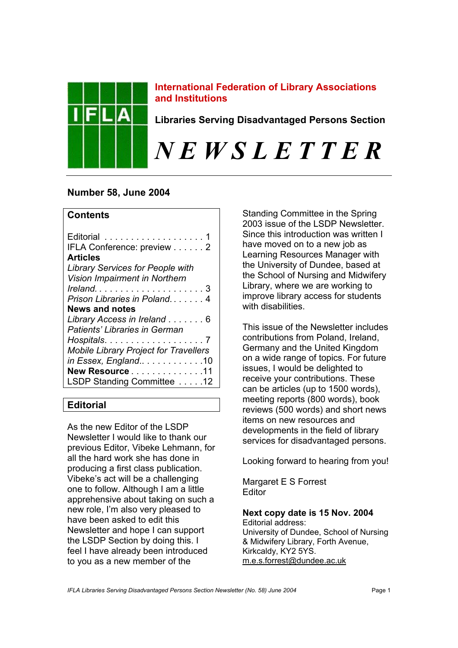

## **International Federation of Library Associations and Institutions**

**Libraries Serving Disadvantaged Persons Section** 

# *N E W S L E T T E R*

# **Number 58, June 2004**

# **Contents**

| IFLA Conference: preview 2                   |
|----------------------------------------------|
| <b>Articles</b>                              |
| <b>Library Services for People with</b>      |
| Vision Impairment in Northern                |
|                                              |
| Prison Libraries in Poland4                  |
| <b>News and notes</b>                        |
| Library Access in Ireland 6                  |
| Patients' Libraries in German                |
|                                              |
| <b>Mobile Library Project for Travellers</b> |
| in Essex, England 10                         |
| New Resource11                               |
| LSDP Standing Committee 12                   |

# **Editorial**

As the new Editor of the LSDP Newsletter I would like to thank our previous Editor, Vibeke Lehmann, for all the hard work she has done in producing a first class publication. Vibeke's act will be a challenging one to follow. Although I am a little apprehensive about taking on such a new role, I'm also very pleased to have been asked to edit this Newsletter and hope I can support the LSDP Section by doing this. I feel I have already been introduced to you as a new member of the

Standing Committee in the Spring 2003 issue of the LSDP Newsletter. Since this introduction was written I have moved on to a new job as Learning Resources Manager with the University of Dundee, based at the School of Nursing and Midwifery Library, where we are working to improve library access for students with disabilities.

This issue of the Newsletter includes contributions from Poland, Ireland, Germany and the United Kingdom on a wide range of topics. For future issues, I would be delighted to receive your contributions. These can be articles (up to 1500 words), meeting reports (800 words), book reviews (500 words) and short news items on new resources and developments in the field of library services for disadvantaged persons.

Looking forward to hearing from you!

Margaret E S Forrest **Editor** 

# **Next copy date is 15 Nov. 2004**

Editorial address: University of Dundee, School of Nursing & Midwifery Library, Forth Avenue, Kirkcaldy, KY2 5YS. m.e.s.forrest@dundee.ac.uk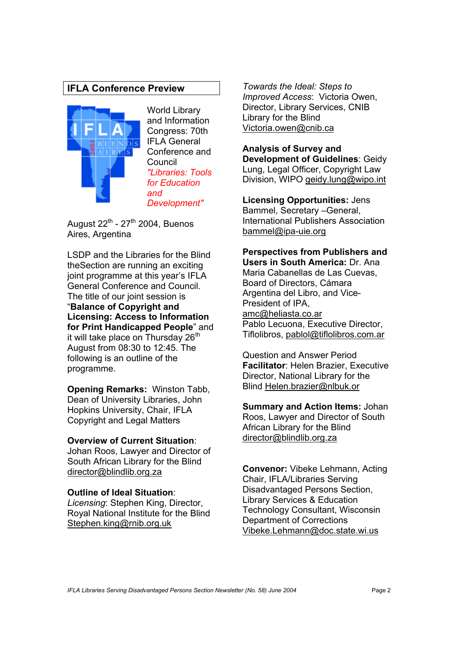# **IFLA Conference Preview**



World Library and Information Congress: 70th IFLA General Conference and Council *"Libraries: Tools for Education and Development"*

August  $22^{th}$  -  $27^{th}$  2004, Buenos Aires, Argentina

LSDP and the Libraries for the Blind theSection are running an exciting joint programme at this year's IFLA General Conference and Council. The title of our joint session is "**Balance of Copyright and Licensing: Access to Information for Print Handicapped People**" and it will take place on Thursday 26<sup>th</sup> August from 08:30 to 12:45. The following is an outline of the programme.

**Opening Remarks:** Winston Tabb, Dean of University Libraries, John Hopkins University, Chair, IFLA Copyright and Legal Matters

#### **Overview of Current Situation**:

Johan Roos, Lawyer and Director of South African Library for the Blind director@blindlib.org.za

## **Outline of Ideal Situation**:

*Licensing*: Stephen King, Director, Royal National Institute for the Blind Stephen.king@rnib.org.uk

*Towards the Ideal: Steps to Improved Access*: Victoria Owen, Director, Library Services, CNIB Library for the Blind Victoria.owen@cnib.ca

# **Analysis of Survey and**

**Development of Guidelines**: Geidy Lung, Legal Officer, Copyright Law Division, WIPO geidy.lung@wipo.int

**Licensing Opportunities:** Jens Bammel, Secretary –General, International Publishers Association bammel@ipa-uie.org

**Perspectives from Publishers and Users in South America:** Dr. Ana Maria Cabanellas de Las Cuevas, Board of Directors, Cámara Argentina del Libro, and Vice-President of IPA, amc@heliasta.co.ar Pablo Lecuona, Executive Director, Tiflolibros, pablol@tiflolibros.com.ar

Question and Answer Period **Facilitator**: Helen Brazier, Executive Director, National Library for the Blind Helen.brazier@nlbuk.or

**Summary and Action Items:** Johan Roos, Lawyer and Director of South African Library for the Blind director@blindlib.org.za

**Convenor:** Vibeke Lehmann, Acting Chair, IFLA/Libraries Serving Disadvantaged Persons Section, Library Services & Education Technology Consultant, Wisconsin Department of Corrections Vibeke.Lehmann@doc.state.wi.us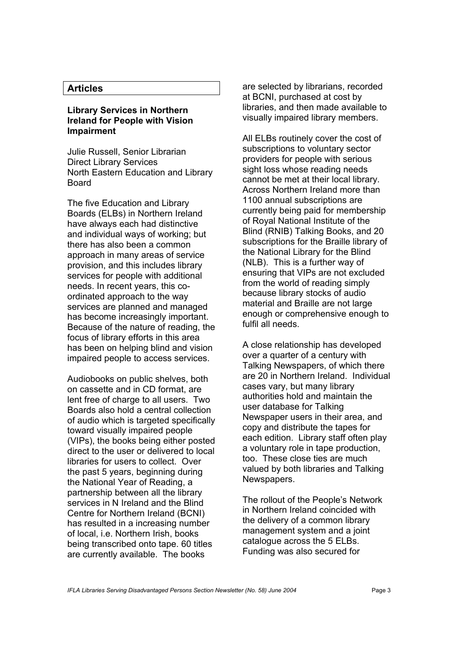## **Articles**

#### **Library Services in Northern Ireland for People with Vision Impairment**

Julie Russell, Senior Librarian Direct Library Services North Eastern Education and Library Board

The five Education and Library Boards (ELBs) in Northern Ireland have always each had distinctive and individual ways of working; but there has also been a common approach in many areas of service provision, and this includes library services for people with additional needs. In recent years, this coordinated approach to the way services are planned and managed has become increasingly important. Because of the nature of reading, the focus of library efforts in this area has been on helping blind and vision impaired people to access services.

Audiobooks on public shelves, both on cassette and in CD format, are lent free of charge to all users. Two Boards also hold a central collection of audio which is targeted specifically toward visually impaired people (VIPs), the books being either posted direct to the user or delivered to local libraries for users to collect. Over the past 5 years, beginning during the National Year of Reading, a partnership between all the library services in N Ireland and the Blind Centre for Northern Ireland (BCNI) has resulted in a increasing number of local, i.e. Northern Irish, books being transcribed onto tape. 60 titles are currently available. The books

are selected by librarians, recorded at BCNI, purchased at cost by libraries, and then made available to visually impaired library members.

All ELBs routinely cover the cost of subscriptions to voluntary sector providers for people with serious sight loss whose reading needs cannot be met at their local library. Across Northern Ireland more than 1100 annual subscriptions are currently being paid for membership of Royal National Institute of the Blind (RNIB) Talking Books, and 20 subscriptions for the Braille library of the National Library for the Blind (NLB). This is a further way of ensuring that VIPs are not excluded from the world of reading simply because library stocks of audio material and Braille are not large enough or comprehensive enough to fulfil all needs.

A close relationship has developed over a quarter of a century with Talking Newspapers, of which there are 20 in Northern Ireland. Individual cases vary, but many library authorities hold and maintain the user database for Talking Newspaper users in their area, and copy and distribute the tapes for each edition. Library staff often play a voluntary role in tape production, too. These close ties are much valued by both libraries and Talking Newspapers.

The rollout of the People's Network in Northern Ireland coincided with the delivery of a common library management system and a joint catalogue across the 5 ELBs. Funding was also secured for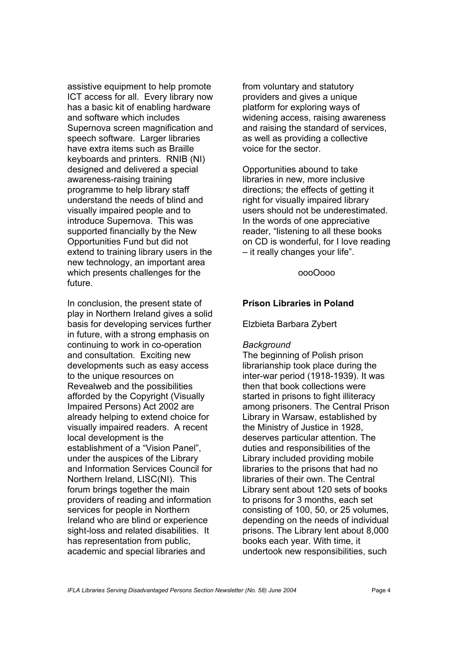assistive equipment to help promote ICT access for all. Every library now has a basic kit of enabling hardware and software which includes Supernova screen magnification and speech software. Larger libraries have extra items such as Braille keyboards and printers. RNIB (NI) designed and delivered a special awareness-raising training programme to help library staff understand the needs of blind and visually impaired people and to introduce Supernova. This was supported financially by the New Opportunities Fund but did not extend to training library users in the new technology, an important area which presents challenges for the future.

In conclusion, the present state of play in Northern Ireland gives a solid basis for developing services further in future, with a strong emphasis on continuing to work in co-operation and consultation. Exciting new developments such as easy access to the unique resources on Revealweb and the possibilities afforded by the Copyright (Visually Impaired Persons) Act 2002 are already helping to extend choice for visually impaired readers. A recent local development is the establishment of a "Vision Panel", under the auspices of the Library and Information Services Council for Northern Ireland, LISC(NI).This forum brings together the main providers of reading and information services for people in Northern Ireland who are blind or experience sight-loss and related disabilities. It has representation from public, academic and special libraries and

from voluntary and statutory providers and gives a unique platform for exploring ways of widening access, raising awareness and raising the standard of services, as well as providing a collective voice for the sector.

Opportunities abound to take libraries in new, more inclusive directions; the effects of getting it right for visually impaired library users should not be underestimated. In the words of one appreciative reader, "listening to all these books on CD is wonderful, for I love reading – it really changes your life".

#### oooOooo

## **Prison Libraries in Poland**

Elzbieta Barbara Zybert

#### *Background*

The beginning of Polish prison librarianship took place during the inter-war period (1918-1939). It was then that book collections were started in prisons to fight illiteracy among prisoners. The Central Prison Library in Warsaw, established by the Ministry of Justice in 1928, deserves particular attention. The duties and responsibilities of the Library included providing mobile libraries to the prisons that had no libraries of their own. The Central Library sent about 120 sets of books to prisons for 3 months, each set consisting of 100, 50, or 25 volumes, depending on the needs of individual prisons. The Library lent about 8,000 books each year. With time, it undertook new responsibilities, such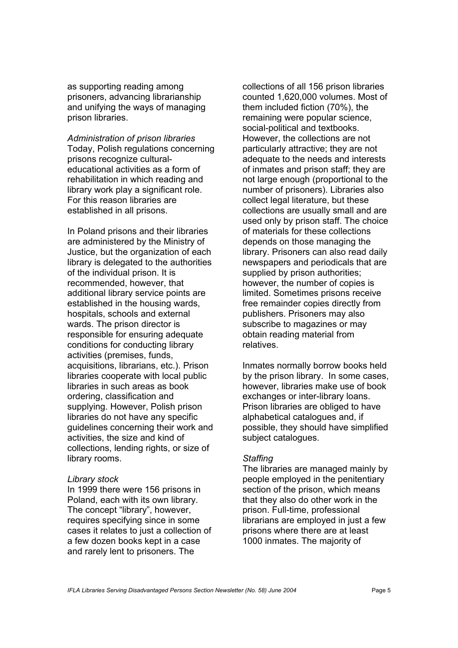as supporting reading among prisoners, advancing librarianship and unifying the ways of managing prison libraries.

*Administration of prison libraries*  Today, Polish regulations concerning prisons recognize culturaleducational activities as a form of rehabilitation in which reading and library work play a significant role. For this reason libraries are established in all prisons.

In Poland prisons and their libraries are administered by the Ministry of Justice, but the organization of each library is delegated to the authorities of the individual prison. It is recommended, however, that additional library service points are established in the housing wards, hospitals, schools and external wards. The prison director is responsible for ensuring adequate conditions for conducting library activities (premises, funds, acquisitions, librarians, etc.). Prison libraries cooperate with local public libraries in such areas as book ordering, classification and supplying. However, Polish prison libraries do not have any specific guidelines concerning their work and activities, the size and kind of collections, lending rights, or size of library rooms.

#### *Library stock*

In 1999 there were 156 prisons in Poland, each with its own library. The concept "library", however, requires specifying since in some cases it relates to just a collection of a few dozen books kept in a case and rarely lent to prisoners. The

collections of all 156 prison libraries counted 1,620,000 volumes. Most of them included fiction (70%), the remaining were popular science, social-political and textbooks. However, the collections are not particularly attractive; they are not adequate to the needs and interests of inmates and prison staff; they are not large enough (proportional to the number of prisoners). Libraries also collect legal literature, but these collections are usually small and are used only by prison staff. The choice of materials for these collections depends on those managing the library. Prisoners can also read daily newspapers and periodicals that are supplied by prison authorities; however, the number of copies is limited. Sometimes prisons receive free remainder copies directly from publishers. Prisoners may also subscribe to magazines or may obtain reading material from relatives.

Inmates normally borrow books held by the prison library. In some cases, however, libraries make use of book exchanges or inter-library loans. Prison libraries are obliged to have alphabetical catalogues and, if possible, they should have simplified subject catalogues.

#### *Staffing*

The libraries are managed mainly by people employed in the penitentiary section of the prison, which means that they also do other work in the prison. Full-time, professional librarians are employed in just a few prisons where there are at least 1000 inmates. The majority of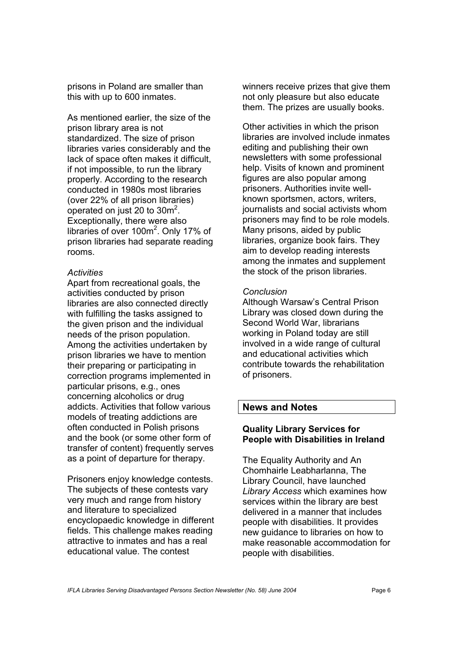prisons in Poland are smaller than this with up to 600 inmates.

As mentioned earlier, the size of the prison library area is not standardized. The size of prison libraries varies considerably and the lack of space often makes it difficult, if not impossible, to run the library properly. According to the research conducted in 1980s most libraries (over 22% of all prison libraries) operated on just 20 to  $30m^2$ . Exceptionally, there were also libraries of over 100m<sup>2</sup>. Only 17% of prison libraries had separate reading rooms.

#### *Activities*

Apart from recreational goals, the activities conducted by prison libraries are also connected directly with fulfilling the tasks assigned to the given prison and the individual needs of the prison population. Among the activities undertaken by prison libraries we have to mention their preparing or participating in correction programs implemented in particular prisons, e.g., ones concerning alcoholics or drug addicts. Activities that follow various models of treating addictions are often conducted in Polish prisons and the book (or some other form of transfer of content) frequently serves as a point of departure for therapy.

Prisoners enjoy knowledge contests. The subjects of these contests vary very much and range from history and literature to specialized encyclopaedic knowledge in different fields. This challenge makes reading attractive to inmates and has a real educational value. The contest

winners receive prizes that give them not only pleasure but also educate them. The prizes are usually books.

Other activities in which the prison libraries are involved include inmates editing and publishing their own newsletters with some professional help. Visits of known and prominent figures are also popular among prisoners. Authorities invite wellknown sportsmen, actors, writers, journalists and social activists whom prisoners may find to be role models. Many prisons, aided by public libraries, organize book fairs. They aim to develop reading interests among the inmates and supplement the stock of the prison libraries.

## *Conclusion*

Although Warsaw's Central Prison Library was closed down during the Second World War, librarians working in Poland today are still involved in a wide range of cultural and educational activities which contribute towards the rehabilitation of prisoners.

## **News and Notes**

## **Quality Library Services for People with Disabilities in Ireland**

The Equality Authority and An Chomhairle Leabharlanna, The Library Council, have launched *Library Access* which examines how services within the library are best delivered in a manner that includes people with disabilities. It provides new guidance to libraries on how to make reasonable accommodation for people with disabilities.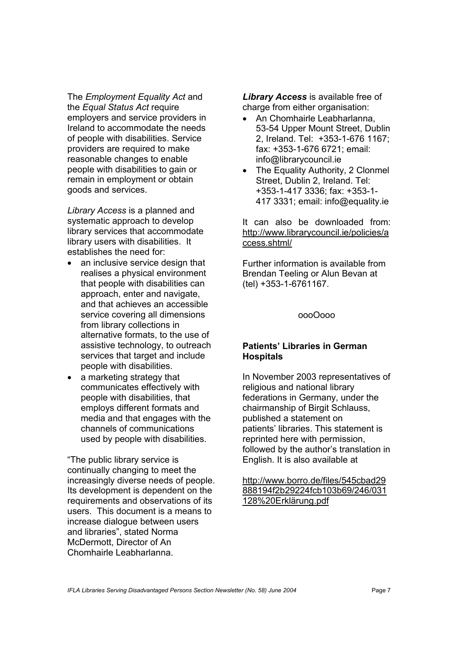The *Employment Equality Act* and the *Equal Status Act* require employers and service providers in Ireland to accommodate the needs of people with disabilities. Service providers are required to make reasonable changes to enable people with disabilities to gain or remain in employment or obtain goods and services.

*Library Access* is a planned and systematic approach to develop library services that accommodate library users with disabilities. It establishes the need for:

- an inclusive service design that realises a physical environment that people with disabilities can approach, enter and navigate, and that achieves an accessible service covering all dimensions from library collections in alternative formats, to the use of assistive technology, to outreach services that target and include people with disabilities.
- a marketing strategy that communicates effectively with people with disabilities, that employs different formats and media and that engages with the channels of communications used by people with disabilities.

"The public library service is continually changing to meet the increasingly diverse needs of people. Its development is dependent on the requirements and observations of its users. This document is a means to increase dialogue between users and libraries", stated Norma McDermott, Director of An Chomhairle Leabharlanna.

*Library Access* is available free of charge from either organisation:

- An Chomhairle Leabharlanna, 53-54 Upper Mount Street, Dublin 2, Ireland. Tel: +353-1-676 1167; fax: +353-1-676 6721; email: info@librarycouncil.ie
- The Equality Authority, 2 Clonmel Street, Dublin 2, Ireland. Tel: +353-1-417 3336; fax: +353-1- 417 3331; email: info@equality.ie

It can also be downloaded from: http://www.librarycouncil.ie/policies/a ccess.shtml/

Further information is available from Brendan Teeling or Alun Bevan at (tel) +353-1-6761167.

oooOooo

## **Patients' Libraries in German Hospitals**

In November 2003 representatives of religious and national library federations in Germany, under the chairmanship of Birgit Schlauss, published a statement on patients' libraries. This statement is reprinted here with permission, followed by the author's translation in English. It is also available at

http://www.borro.de/files/545cbad29 888194f2b29224fcb103b69/246/031 128%20Erklärung.pdf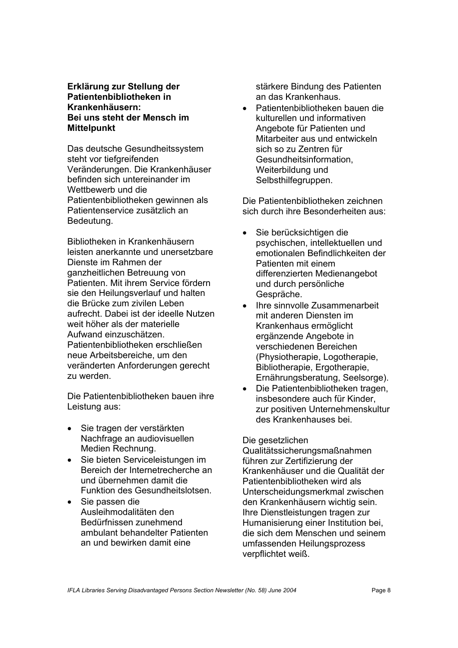## **Erklärung zur Stellung der Patientenbibliotheken in Krankenhäusern: Bei uns steht der Mensch im Mittelpunkt**

Das deutsche Gesundheitssystem steht vor tiefgreifenden Veränderungen. Die Krankenhäuser befinden sich untereinander im Wettbewerb und die Patientenbibliotheken gewinnen als Patientenservice zusätzlich an Bedeutung.

Bibliotheken in Krankenhäusern leisten anerkannte und unersetzbare Dienste im Rahmen der ganzheitlichen Betreuung von Patienten. Mit ihrem Service fördern sie den Heilungsverlauf und halten die Brücke zum zivilen Leben aufrecht. Dabei ist der ideelle Nutzen weit höher als der materielle Aufwand einzuschätzen. Patientenbibliotheken erschließen neue Arbeitsbereiche, um den veränderten Anforderungen gerecht zu werden.

Die Patientenbibliotheken bauen ihre Leistung aus:

- Sie tragen der verstärkten Nachfrage an audiovisuellen Medien Rechnung.
- Sie bieten Serviceleistungen im Bereich der Internetrecherche an und übernehmen damit die Funktion des Gesundheitslotsen.
- Sie passen die Ausleihmodalitäten den Bedürfnissen zunehmend ambulant behandelter Patienten an und bewirken damit eine

stärkere Bindung des Patienten an das Krankenhaus.

• Patientenbibliotheken bauen die kulturellen und informativen Angebote für Patienten und Mitarbeiter aus und entwickeln sich so zu Zentren für Gesundheitsinformation, Weiterbildung und Selbsthilfegruppen.

Die Patientenbibliotheken zeichnen sich durch ihre Besonderheiten aus:

- Sie berücksichtigen die psychischen, intellektuellen und emotionalen Befindlichkeiten der Patienten mit einem differenzierten Medienangebot und durch persönliche Gespräche.
- Ihre sinnvolle Zusammenarbeit mit anderen Diensten im Krankenhaus ermöglicht ergänzende Angebote in verschiedenen Bereichen (Physiotherapie, Logotherapie, Bibliotherapie, Ergotherapie, Ernährungsberatung, Seelsorge).
- Die Patientenbibliotheken tragen, insbesondere auch für Kinder, zur positiven Unternehmenskultur des Krankenhauses bei.

## Die gesetzlichen

Qualitätssicherungsmaßnahmen führen zur Zertifizierung der Krankenhäuser und die Qualität der Patientenbibliotheken wird als Unterscheidungsmerkmal zwischen den Krankenhäusern wichtig sein. Ihre Dienstleistungen tragen zur Humanisierung einer Institution bei, die sich dem Menschen und seinem umfassenden Heilungsprozess verpflichtet weiß.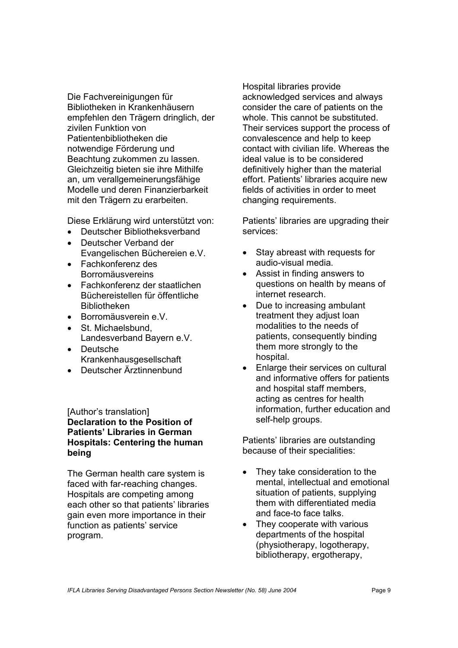Die Fachvereinigungen für Bibliotheken in Krankenhäusern empfehlen den Trägern dringlich, der zivilen Funktion von Patientenbibliotheken die notwendige Förderung und Beachtung zukommen zu lassen. Gleichzeitig bieten sie ihre Mithilfe an, um verallgemeinerungsfähige Modelle und deren Finanzierbarkeit mit den Trägern zu erarbeiten.

Diese Erklärung wird unterstützt von:

- Deutscher Bibliotheksverband
- Deutscher Verband der Evangelischen Büchereien e.V.
- Fachkonferenz des Borromäusvereins
- Fachkonferenz der staatlichen Büchereistellen für öffentliche Bibliotheken
- Borromäusverein e.V.
- St. Michaelsbund, Landesverband Bayern e.V.
- Deutsche Krankenhausgesellschaft
- Deutscher Ärztinnenbund

[Author's translation] **Declaration to the Position of Patients' Libraries in German Hospitals: Centering the human being** 

The German health care system is faced with far-reaching changes. Hospitals are competing among each other so that patients' libraries gain even more importance in their function as patients' service program.

Hospital libraries provide acknowledged services and always consider the care of patients on the whole. This cannot be substituted. Their services support the process of convalescence and help to keep contact with civilian life. Whereas the ideal value is to be considered definitively higher than the material effort. Patients' libraries acquire new fields of activities in order to meet changing requirements.

Patients' libraries are upgrading their services:

- Stay abreast with requests for audio-visual media.
- Assist in finding answers to questions on health by means of internet research.
- Due to increasing ambulant treatment they adjust loan modalities to the needs of patients, consequently binding them more strongly to the hospital.
- Enlarge their services on cultural and informative offers for patients and hospital staff members, acting as centres for health information, further education and self-help groups.

Patients' libraries are outstanding because of their specialities:

- They take consideration to the mental, intellectual and emotional situation of patients, supplying them with differentiated media and face-to face talks.
- They cooperate with various departments of the hospital (physiotherapy, logotherapy, bibliotherapy, ergotherapy,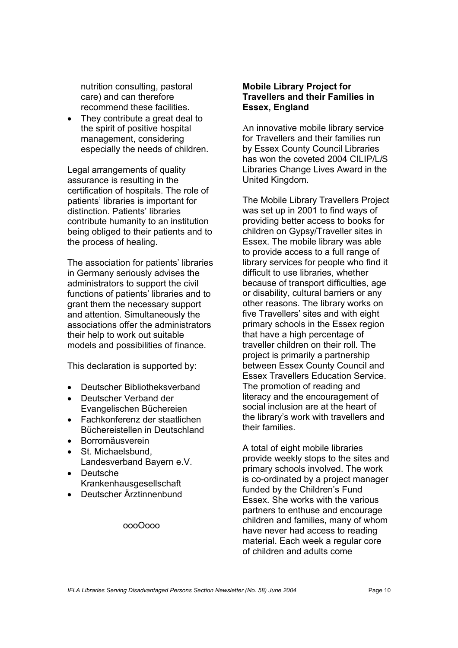nutrition consulting, pastoral care) and can therefore recommend these facilities.

They contribute a great deal to the spirit of positive hospital management, considering especially the needs of children.

Legal arrangements of quality assurance is resulting in the certification of hospitals. The role of patients' libraries is important for distinction. Patients' libraries contribute humanity to an institution being obliged to their patients and to the process of healing.

The association for patients' libraries in Germany seriously advises the administrators to support the civil functions of patients' libraries and to grant them the necessary support and attention. Simultaneously the associations offer the administrators their help to work out suitable models and possibilities of finance.

This declaration is supported by:

- Deutscher Bibliotheksverband
- Deutscher Verband der Evangelischen Büchereien
- Fachkonferenz der staatlichen Büchereistellen in Deutschland
- Borromäusverein
- St. Michaelsbund Landesverband Bayern e.V.
- Deutsche Krankenhausgesellschaft
- Deutscher Ärztinnenbund

#### oooOooo

#### **Mobile Library Project for Travellers and their Families in Essex, England**

An innovative mobile library service for Travellers and their families run by Essex County Council Libraries has won the coveted 2004 CILIP/L*i*S Libraries Change Lives Award in the United Kingdom.

The Mobile Library Travellers Project was set up in 2001 to find ways of providing better access to books for children on Gypsy/Traveller sites in Essex. The mobile library was able to provide access to a full range of library services for people who find it difficult to use libraries, whether because of transport difficulties, age or disability, cultural barriers or any other reasons. The library works on five Travellers' sites and with eight primary schools in the Essex region that have a high percentage of traveller children on their roll. The project is primarily a partnership between Essex County Council and Essex Travellers Education Service. The promotion of reading and literacy and the encouragement of social inclusion are at the heart of the library's work with travellers and their families.

A total of eight mobile libraries provide weekly stops to the sites and primary schools involved. The work is co-ordinated by a project manager funded by the Children's Fund Essex. She works with the various partners to enthuse and encourage children and families, many of whom have never had access to reading material. Each week a regular core of children and adults come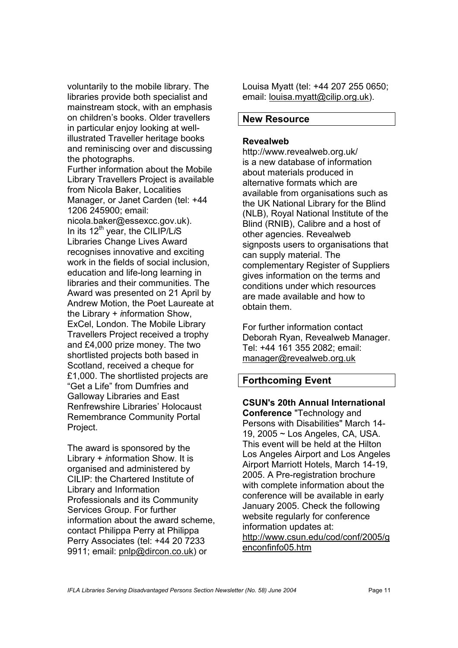voluntarily to the mobile library. The libraries provide both specialist and mainstream stock, with an emphasis on children's books. Older travellers in particular enjoy looking at wellillustrated Traveller heritage books and reminiscing over and discussing the photographs.

Further information about the Mobile Library Travellers Project is available from Nicola Baker, Localities Manager, or Janet Carden (tel: +44 1206 245900; email: nicola.baker@essexcc.gov.uk). In its 12th year, the CILIP/L*i*S Libraries Change Lives Award recognises innovative and exciting work in the fields of social inclusion, education and life-long learning in libraries and their communities. The Award was presented on 21 April by Andrew Motion, the Poet Laureate at the Library + *i*nformation Show, ExCel, London. The Mobile Library Travellers Project received a trophy and £4,000 prize money. The two shortlisted projects both based in Scotland, received a cheque for £1,000. The shortlisted projects are "Get a Life" from Dumfries and Galloway Libraries and East Renfrewshire Libraries' Holocaust Remembrance Community Portal Project.

The award is sponsored by the Library + *i*nformation Show. It is organised and administered by CILIP: the Chartered Institute of Library and Information Professionals and its Community Services Group. For further information about the award scheme, contact Philippa Perry at Philippa Perry Associates (tel: +44 20 7233 9911; email: pnlp@dircon.co.uk) or

Louisa Myatt (tel: +44 207 255 0650; email: louisa.myatt@cilip.org.uk).

## **New Resource**

#### **Revealweb**

http://www.revealweb.org.uk/ is a new database of information about materials produced in alternative formats which are available from organisations such as the UK National Library for the Blind (NLB), Royal National Institute of the Blind (RNIB), Calibre and a host of other agencies. Revealweb signposts users to organisations that can supply material. The complementary Register of Suppliers gives information on the terms and conditions under which resources are made available and how to obtain them.

For further information contact Deborah Ryan, Revealweb Manager. Tel: +44 161 355 2082; email: manager@revealweb.org.uk

# **Forthcoming Event**

**CSUN's 20th Annual International Conference** "Technology and Persons with Disabilities" March 14- 19, 2005 ~ Los Angeles, CA, USA. This event will be held at the Hilton Los Angeles Airport and Los Angeles Airport Marriott Hotels, March 14-19, 2005. A Pre-registration brochure with complete information about the conference will be available in early January 2005. Check the following website regularly for conference information updates at: http://www.csun.edu/cod/conf/2005/g enconfinfo05.htm